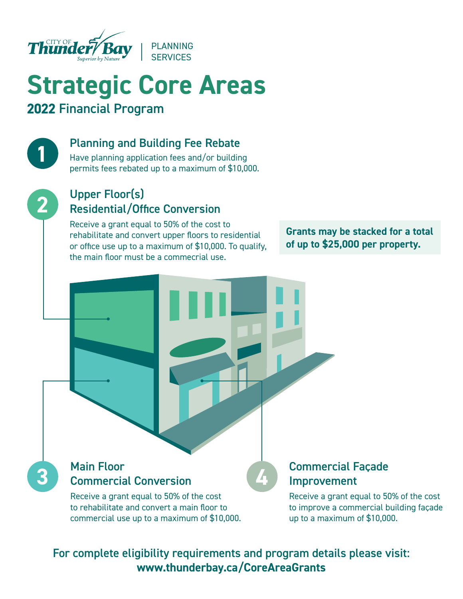

# **Strategic Core Areas** 2022 Financial Program

#### Planning and Building Fee Rebate

Have planning application fees and/or building permits fees rebated up to a maximum of \$10,000.



**1**

### Upper Floor(s) Residential/Office Conversion

Receive a grant equal to 50% of the cost to rehabilitate and convert upper floors to residential or office use up to a maximum of \$10,000. To qualify, the main floor must be a commecrial use.

**Grants may be stacked for a total of up to \$25,000 per property.**

## **3 Commercial Conversion** Main Floor

Receive a grant equal to 50% of the cost to rehabilitate and convert a main floor to commercial use up to a maximum of \$10,000.

#### Commercial Facade Improvement

Receive a grant equal to 50% of the cost to improve a commercial building façade up to a maximum of \$10,000.

For complete eligibility requirements and program details please visit: **www.thunderbay.ca/CoreAreaGrants**